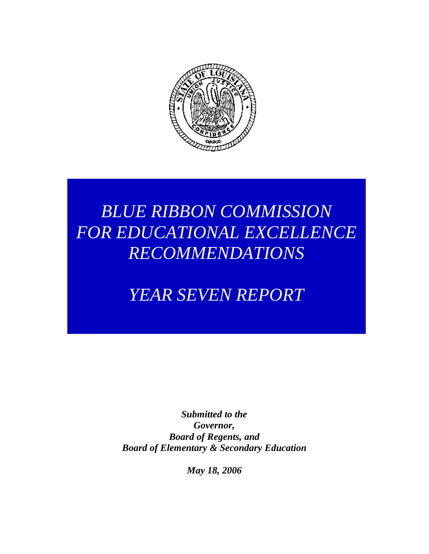

## *BLUE RIBBON COMMISSION FOR EDUCATIONAL EXCELLENCE RECOMMENDATIONS*

## *YEAR SEVEN REPORT*

*Submitted to the Governor, Board of Regents, and Board of Elementary & Secondary Education*

*May 18, 2006*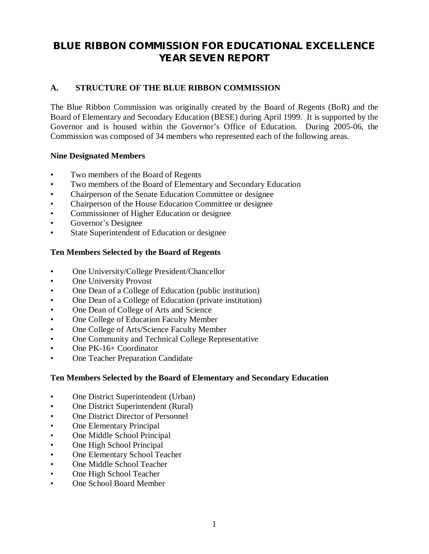### **BLUE RIBBON COMMISSION FOR EDUCATIONAL EXCELLENCE YEAR SEVEN REPORT**

#### **A. STRUCTURE OF THE BLUE RIBBON COMMISSION**

The Blue Ribbon Commission was originally created by the Board of Regents (BoR) and the Board of Elementary and Secondary Education (BESE) during April 1999. It is supported by the Governor and is housed within the Governor's Office of Education. During 2005-06, the Commission was composed of 34 members who represented each of the following areas.

#### **Nine Designated Members**

- Two members of the Board of Regents
- Two members of the Board of Elementary and Secondary Education
- Chairperson of the Senate Education Committee or designee
- Chairperson of the House Education Committee or designee
- Commissioner of Higher Education or designee
- Governor's Designee
- State Superintendent of Education or designee

#### **Ten Members Selected by the Board of Regents**

- One University/College President/Chancellor
- One University Provost
- One Dean of a College of Education (public institution)
- One Dean of a College of Education (private institution)
- One Dean of College of Arts and Science
- One College of Education Faculty Member
- One College of Arts/Science Faculty Member
- One Community and Technical College Representative
- One PK-16+ Coordinator
- One Teacher Preparation Candidate

#### **Ten Members Selected by the Board of Elementary and Secondary Education**

- One District Superintendent (Urban)
- One District Superintendent (Rural)
- One District Director of Personnel
- One Elementary Principal
- One Middle School Principal
- One High School Principal
- One Elementary School Teacher
- One Middle School Teacher
- One High School Teacher
- One School Board Member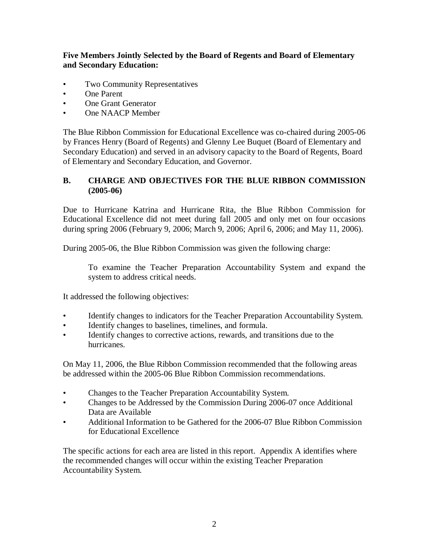#### **Five Members Jointly Selected by the Board of Regents and Board of Elementary and Secondary Education:**

- Two Community Representatives
- One Parent
- One Grant Generator
- One NAACP Member

The Blue Ribbon Commission for Educational Excellence was co-chaired during 2005-06 by Frances Henry (Board of Regents) and Glenny Lee Buquet (Board of Elementary and Secondary Education) and served in an advisory capacity to the Board of Regents, Board of Elementary and Secondary Education, and Governor.

#### **B. CHARGE AND OBJECTIVES FOR THE BLUE RIBBON COMMISSION (2005-06)**

Due to Hurricane Katrina and Hurricane Rita, the Blue Ribbon Commission for Educational Excellence did not meet during fall 2005 and only met on four occasions during spring 2006 (February 9, 2006; March 9, 2006; April 6, 2006; and May 11, 2006).

During 2005-06, the Blue Ribbon Commission was given the following charge:

To examine the Teacher Preparation Accountability System and expand the system to address critical needs.

It addressed the following objectives:

- Identify changes to indicators for the Teacher Preparation Accountability System.
- Identify changes to baselines, timelines, and formula.
- Identify changes to corrective actions, rewards, and transitions due to the hurricanes.

On May 11, 2006, the Blue Ribbon Commission recommended that the following areas be addressed within the 2005-06 Blue Ribbon Commission recommendations.

- Changes to the Teacher Preparation Accountability System.
- Changes to be Addressed by the Commission During 2006-07 once Additional Data are Available
- Additional Information to be Gathered for the 2006-07 Blue Ribbon Commission for Educational Excellence

The specific actions for each area are listed in this report. Appendix A identifies where the recommended changes will occur within the existing Teacher Preparation Accountability System.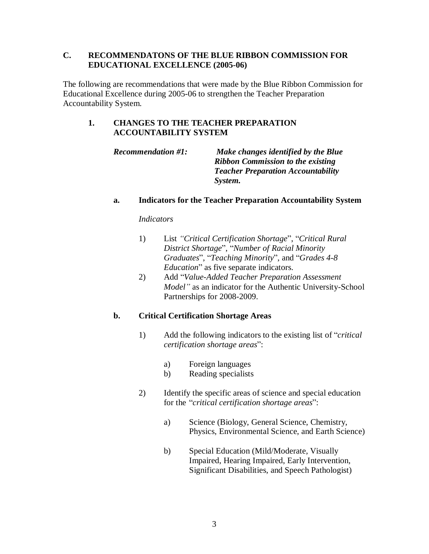The following are recommendations that were made by the Blue Ribbon Commission for Educational Excellence during 2005-06 to strengthen the Teacher Preparation Accountability System.

#### **1. CHANGES TO THE TEACHER PREPARATION ACCOUNTABILITY SYSTEM**

*Recommendation #1: Make changes identified by the Blue Ribbon Commission to the existing Teacher Preparation Accountability System.*

#### **a. Indicators for the Teacher Preparation Accountability System**

#### *Indicators*

- 1) List *"Critical Certification Shortage*", "*Critical Rural District Shortage*", "*Number of Racial Minority Graduates*", "*Teaching Minority*", and "*Grades 4-8 Education*" as five separate indicators.
- 2) Add "*Value-Added Teacher Preparation Assessment Model"* as an indicator for the Authentic University-School Partnerships for 2008-2009.

### **b. Critical Certification Shortage Areas**

- 1) Add the following indicators to the existing list of "*critical certification shortage areas*":
	- a) Foreign languages
	- b) Reading specialists
- 2) Identify the specific areas of science and special education for the "*critical certification shortage areas*":
	- a) Science (Biology, General Science, Chemistry, Physics, Environmental Science, and Earth Science)
	- b) Special Education (Mild/Moderate, Visually Impaired, Hearing Impaired, Early Intervention, Significant Disabilities, and Speech Pathologist)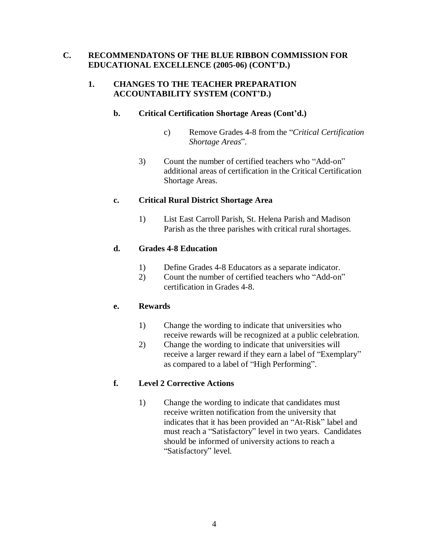#### **1. CHANGES TO THE TEACHER PREPARATION ACCOUNTABILITY SYSTEM (CONT'D.)**

#### **b. Critical Certification Shortage Areas (Cont'd.)**

- c) Remove Grades 4-8 from the "*Critical Certification Shortage Areas*".
- 3) Count the number of certified teachers who "Add-on" additional areas of certification in the Critical Certification Shortage Areas.

#### **c. Critical Rural District Shortage Area**

1) List East Carroll Parish, St. Helena Parish and Madison Parish as the three parishes with critical rural shortages.

#### **d. Grades 4-8 Education**

- 1) Define Grades 4-8 Educators as a separate indicator.
- 2) Count the number of certified teachers who "Add-on" certification in Grades 4-8.

#### **e. Rewards**

- 1) Change the wording to indicate that universities who receive rewards will be recognized at a public celebration.
- 2) Change the wording to indicate that universities will receive a larger reward if they earn a label of "Exemplary" as compared to a label of "High Performing".

### **f. Level 2 Corrective Actions**

1) Change the wording to indicate that candidates must receive written notification from the university that indicates that it has been provided an "At-Risk" label and must reach a "Satisfactory" level in two years. Candidates should be informed of university actions to reach a "Satisfactory" level.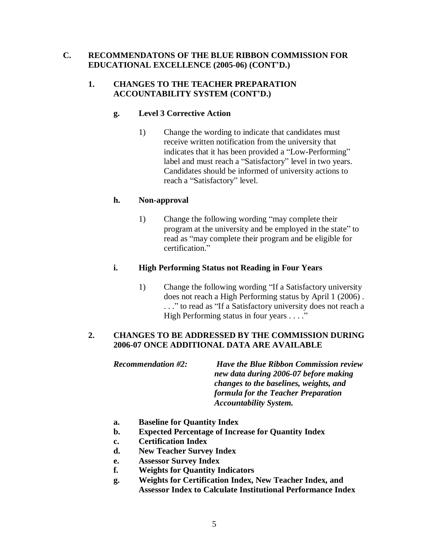#### **1. CHANGES TO THE TEACHER PREPARATION ACCOUNTABILITY SYSTEM (CONT'D.)**

#### **g. Level 3 Corrective Action**

1) Change the wording to indicate that candidates must receive written notification from the university that indicates that it has been provided a "Low-Performing" label and must reach a "Satisfactory" level in two years. Candidates should be informed of university actions to reach a "Satisfactory" level.

#### **h. Non-approval**

1) Change the following wording "may complete their program at the university and be employed in the state" to read as "may complete their program and be eligible for certification<sup>"</sup>

#### **i. High Performing Status not Reading in Four Years**

1) Change the following wording "If a Satisfactory university does not reach a High Performing status by April 1 (2006) . . . ." to read as "If a Satisfactory university does not reach a High Performing status in four years . . . ."

#### **2. CHANGES TO BE ADDRESSED BY THE COMMISSION DURING 2006-07 ONCE ADDITIONAL DATA ARE AVAILABLE**

*Recommendation #2: Have the Blue Ribbon Commission review new data during 2006-07 before making changes to the baselines, weights, and formula for the Teacher Preparation Accountability System.*

- **a. Baseline for Quantity Index**
- **b. Expected Percentage of Increase for Quantity Index**
- **c. Certification Index**
- **d. New Teacher Survey Index**
- **e. Assessor Survey Index**
- **f. Weights for Quantity Indicators**
- **g. Weights for Certification Index, New Teacher Index, and Assessor Index to Calculate Institutional Performance Index**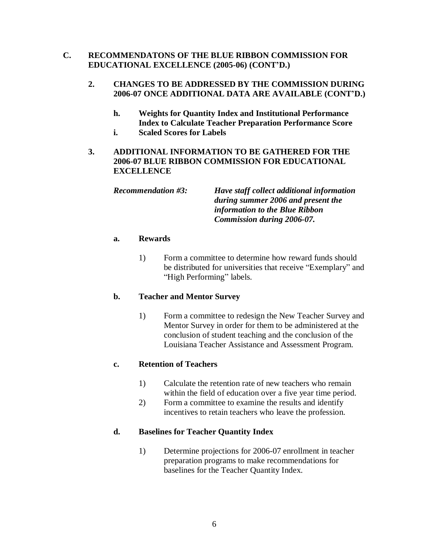#### **2. CHANGES TO BE ADDRESSED BY THE COMMISSION DURING 2006-07 ONCE ADDITIONAL DATA ARE AVAILABLE (CONT'D.)**

- **h. Weights for Quantity Index and Institutional Performance Index to Calculate Teacher Preparation Performance Score**
- **i. Scaled Scores for Labels**
- **3. ADDITIONAL INFORMATION TO BE GATHERED FOR THE 2006-07 BLUE RIBBON COMMISSION FOR EDUCATIONAL EXCELLENCE**

*Recommendation #3: Have staff collect additional information during summer 2006 and present the information to the Blue Ribbon Commission during 2006-07.*

#### **a. Rewards**

1) Form a committee to determine how reward funds should be distributed for universities that receive "Exemplary" and "High Performing" labels.

#### **b. Teacher and Mentor Survey**

1) Form a committee to redesign the New Teacher Survey and Mentor Survey in order for them to be administered at the conclusion of student teaching and the conclusion of the Louisiana Teacher Assistance and Assessment Program.

#### **c. Retention of Teachers**

- 1) Calculate the retention rate of new teachers who remain within the field of education over a five year time period.
- 2) Form a committee to examine the results and identify incentives to retain teachers who leave the profession.

#### **d. Baselines for Teacher Quantity Index**

1) Determine projections for 2006-07 enrollment in teacher preparation programs to make recommendations for baselines for the Teacher Quantity Index.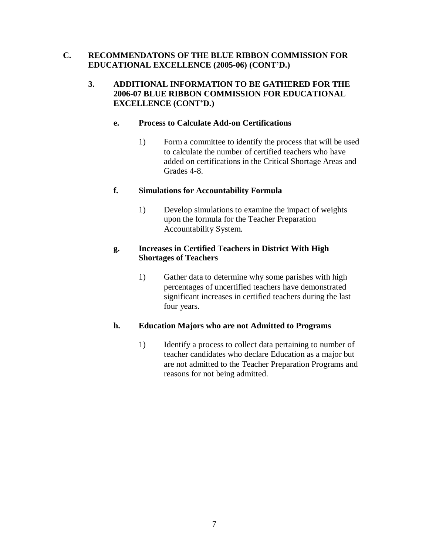#### **3. ADDITIONAL INFORMATION TO BE GATHERED FOR THE 2006-07 BLUE RIBBON COMMISSION FOR EDUCATIONAL EXCELLENCE (CONT'D.)**

#### **e. Process to Calculate Add-on Certifications**

1) Form a committee to identify the process that will be used to calculate the number of certified teachers who have added on certifications in the Critical Shortage Areas and Grades 4-8.

#### **f. Simulations for Accountability Formula**

1) Develop simulations to examine the impact of weights upon the formula for the Teacher Preparation Accountability System.

#### **g. Increases in Certified Teachers in District With High Shortages of Teachers**

1) Gather data to determine why some parishes with high percentages of uncertified teachers have demonstrated significant increases in certified teachers during the last four years.

#### **h. Education Majors who are not Admitted to Programs**

1) Identify a process to collect data pertaining to number of teacher candidates who declare Education as a major but are not admitted to the Teacher Preparation Programs and reasons for not being admitted.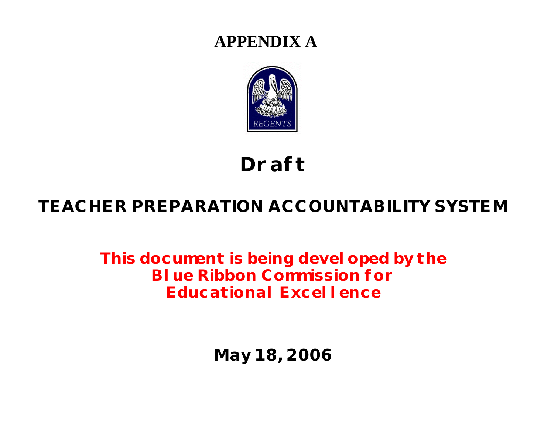## **APPENDIX A**



# **Draft**

## **TEACHER PREPARATION ACCOUNTABILITY SYSTEM**

**This document is being developed by the Blue Ribbon Commission for Educational Excellence**

**May 18, 2006**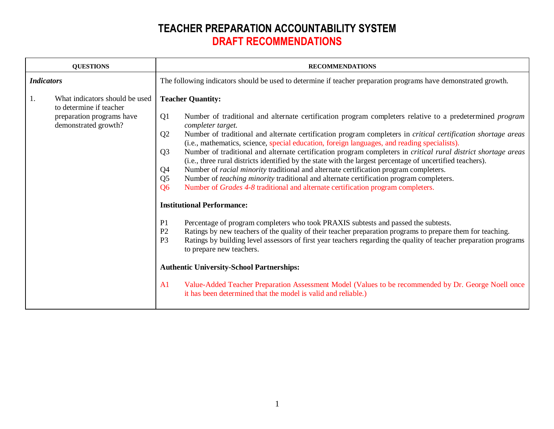| <b>QUESTIONS</b>  |                                                                                                                | <b>RECOMMENDATIONS</b>                                                                                                                                                                                                                                                                                                                                                                                                                                                                                                                                                                                                                                                                                                                                                                                                                                                                                               |  |  |
|-------------------|----------------------------------------------------------------------------------------------------------------|----------------------------------------------------------------------------------------------------------------------------------------------------------------------------------------------------------------------------------------------------------------------------------------------------------------------------------------------------------------------------------------------------------------------------------------------------------------------------------------------------------------------------------------------------------------------------------------------------------------------------------------------------------------------------------------------------------------------------------------------------------------------------------------------------------------------------------------------------------------------------------------------------------------------|--|--|
| <b>Indicators</b> |                                                                                                                | The following indicators should be used to determine if teacher preparation programs have demonstrated growth.                                                                                                                                                                                                                                                                                                                                                                                                                                                                                                                                                                                                                                                                                                                                                                                                       |  |  |
| 1.                | What indicators should be used<br>to determine if teacher<br>preparation programs have<br>demonstrated growth? | <b>Teacher Quantity:</b><br>Q <sub>1</sub><br>Number of traditional and alternate certification program completers relative to a predetermined <i>program</i><br>completer target.<br>Q <sub>2</sub><br>Number of traditional and alternate certification program completers in <i>critical certification shortage areas</i><br>(i.e., mathematics, science, special education, foreign languages, and reading specialists).<br>Q <sub>3</sub><br>Number of traditional and alternate certification program completers in <i>critical rural district shortage areas</i><br>(i.e., three rural districts identified by the state with the largest percentage of uncertified teachers).<br>Number of <i>racial minority</i> traditional and alternate certification program completers.<br>Q <sub>4</sub><br>Number of teaching minority traditional and alternate certification program completers.<br>Q <sub>5</sub> |  |  |
|                   |                                                                                                                | Number of <i>Grades</i> 4-8 traditional and alternate certification program completers.<br><b>Q6</b><br><b>Institutional Performance:</b>                                                                                                                                                                                                                                                                                                                                                                                                                                                                                                                                                                                                                                                                                                                                                                            |  |  |
|                   |                                                                                                                | Percentage of program completers who took PRAXIS subtests and passed the subtests.<br>P <sub>1</sub><br>Ratings by new teachers of the quality of their teacher preparation programs to prepare them for teaching.<br>P <sub>2</sub><br>Ratings by building level assessors of first year teachers regarding the quality of teacher preparation programs<br>P <sub>3</sub><br>to prepare new teachers.                                                                                                                                                                                                                                                                                                                                                                                                                                                                                                               |  |  |
|                   |                                                                                                                | <b>Authentic University-School Partnerships:</b>                                                                                                                                                                                                                                                                                                                                                                                                                                                                                                                                                                                                                                                                                                                                                                                                                                                                     |  |  |
|                   |                                                                                                                | Value-Added Teacher Preparation Assessment Model (Values to be recommended by Dr. George Noell once<br>A <sub>1</sub><br>it has been determined that the model is valid and reliable.)                                                                                                                                                                                                                                                                                                                                                                                                                                                                                                                                                                                                                                                                                                                               |  |  |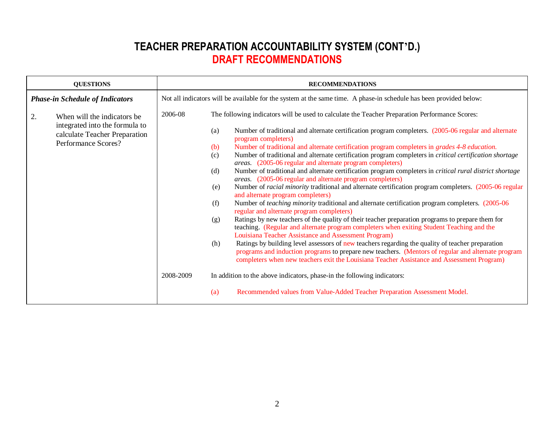| <b>QUESTIONS</b>                                                                                                             | <b>RECOMMENDATIONS</b>                                                                                                                                                                                                                                                                                                                                                                                                                                                                                                                                                                                                                                                                                                                                                                                                                                                                                                                                                                                                                                                                                                                                                                                                                                                                                                                                                                                                                                                                                                                                                                                                                                                                                                                                                                                                                      |  |  |  |
|------------------------------------------------------------------------------------------------------------------------------|---------------------------------------------------------------------------------------------------------------------------------------------------------------------------------------------------------------------------------------------------------------------------------------------------------------------------------------------------------------------------------------------------------------------------------------------------------------------------------------------------------------------------------------------------------------------------------------------------------------------------------------------------------------------------------------------------------------------------------------------------------------------------------------------------------------------------------------------------------------------------------------------------------------------------------------------------------------------------------------------------------------------------------------------------------------------------------------------------------------------------------------------------------------------------------------------------------------------------------------------------------------------------------------------------------------------------------------------------------------------------------------------------------------------------------------------------------------------------------------------------------------------------------------------------------------------------------------------------------------------------------------------------------------------------------------------------------------------------------------------------------------------------------------------------------------------------------------------|--|--|--|
| <b>Phase-in Schedule of Indicators</b>                                                                                       | Not all indicators will be available for the system at the same time. A phase-in schedule has been provided below:                                                                                                                                                                                                                                                                                                                                                                                                                                                                                                                                                                                                                                                                                                                                                                                                                                                                                                                                                                                                                                                                                                                                                                                                                                                                                                                                                                                                                                                                                                                                                                                                                                                                                                                          |  |  |  |
| 2.<br>When will the indicators be.<br>integrated into the formula to<br>calculate Teacher Preparation<br>Performance Scores? | 2006-08<br>The following indicators will be used to calculate the Teacher Preparation Performance Scores:<br>Number of traditional and alternate certification program completers. (2005-06 regular and alternate<br>(a)<br>program completers)<br>Number of traditional and alternate certification program completers in <i>grades</i> 4-8 <i>education</i> .<br>(b)<br>Number of traditional and alternate certification program completers in <i>critical certification shortage</i><br>(c)<br>areas. (2005-06 regular and alternate program completers)<br>Number of traditional and alternate certification program completers in <i>critical rural district shortage</i><br>(d)<br>areas. (2005-06 regular and alternate program completers)<br>Number of <i>racial minority</i> traditional and alternate certification program completers. (2005-06 regular<br>(e)<br>and alternate program completers)<br>Number of <i>teaching minority</i> traditional and alternate certification program completers. (2005-06)<br>(f)<br>regular and alternate program completers)<br>Ratings by new teachers of the quality of their teacher preparation programs to prepare them for<br>(g)<br>teaching. (Regular and alternate program completers when exiting Student Teaching and the<br>Louisiana Teacher Assistance and Assessment Program)<br>Ratings by building level assessors of new teachers regarding the quality of teacher preparation<br>(h)<br>programs and induction programs to prepare new teachers. (Mentors of regular and alternate program<br>completers when new teachers exit the Louisiana Teacher Assistance and Assessment Program)<br>2008-2009<br>In addition to the above indicators, phase-in the following indicators:<br>Recommended values from Value-Added Teacher Preparation Assessment Model.<br>(a) |  |  |  |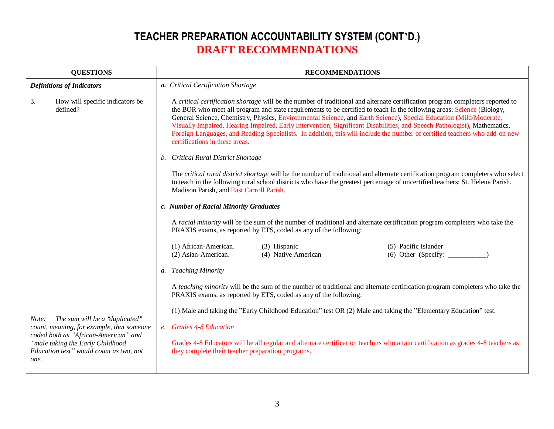| <b>QUESTIONS</b>                                                                                                            | <b>RECOMMENDATIONS</b>                                                                                                                                                                                                                                                                                                                                                                                                                                                                                                                                                                                                                                                    |  |  |
|-----------------------------------------------------------------------------------------------------------------------------|---------------------------------------------------------------------------------------------------------------------------------------------------------------------------------------------------------------------------------------------------------------------------------------------------------------------------------------------------------------------------------------------------------------------------------------------------------------------------------------------------------------------------------------------------------------------------------------------------------------------------------------------------------------------------|--|--|
| <b>Definitions of Indicators</b>                                                                                            | a. Critical Certification Shortage                                                                                                                                                                                                                                                                                                                                                                                                                                                                                                                                                                                                                                        |  |  |
| 3.<br>How will specific indicators be<br>defined?                                                                           | A critical certification shortage will be the number of traditional and alternate certification program completers reported to<br>the BOR who meet all program and state requirements to be certified to teach in the following areas: Science (Biology,<br>General Science, Chemistry, Physics, Environmental Science, and Earth Science), Special Education (Mild/Moderate,<br>Visually Impaired, Hearing Impaired, Early Intervention, Significant Disabilities, and Speech Pathologist), Mathematics,<br>Foreign Languages, and Reading Specialists. In addition, this will include the number of certified teachers who add-on new<br>certifications in these areas. |  |  |
|                                                                                                                             | b. Critical Rural District Shortage                                                                                                                                                                                                                                                                                                                                                                                                                                                                                                                                                                                                                                       |  |  |
|                                                                                                                             | The critical rural district shortage will be the number of traditional and alternate certification program completers who select<br>to teach in the following rural school districts who have the greatest percentage of uncertified teachers: St. Helena Parish,<br>Madison Parish, and East Carroll Parish.                                                                                                                                                                                                                                                                                                                                                             |  |  |
|                                                                                                                             | c. Number of Racial Minority Graduates                                                                                                                                                                                                                                                                                                                                                                                                                                                                                                                                                                                                                                    |  |  |
|                                                                                                                             | A racial minority will be the sum of the number of traditional and alternate certification program completers who take the<br>PRAXIS exams, as reported by ETS, coded as any of the following:                                                                                                                                                                                                                                                                                                                                                                                                                                                                            |  |  |
|                                                                                                                             | (1) African-American.<br>(3) Hispanic<br>(5) Pacific Islander<br>(6) Other (Specify: $\qquad \qquad$<br>(2) Asian-American.<br>(4) Native American                                                                                                                                                                                                                                                                                                                                                                                                                                                                                                                        |  |  |
|                                                                                                                             | d. Teaching Minority                                                                                                                                                                                                                                                                                                                                                                                                                                                                                                                                                                                                                                                      |  |  |
|                                                                                                                             | A teaching minority will be the sum of the number of traditional and alternate certification program completers who take the<br>PRAXIS exams, as reported by ETS, coded as any of the following:                                                                                                                                                                                                                                                                                                                                                                                                                                                                          |  |  |
|                                                                                                                             | (1) Male and taking the "Early Childhood Education" test OR (2) Male and taking the "Elementary Education" test.                                                                                                                                                                                                                                                                                                                                                                                                                                                                                                                                                          |  |  |
| The sum will be a "duplicated"<br>Note:<br>count, meaning, for example, that someone                                        | e. Grades 4-8 Education                                                                                                                                                                                                                                                                                                                                                                                                                                                                                                                                                                                                                                                   |  |  |
| coded both as "African-American" and<br>"male taking the Early Childhood<br>Education test" would count as two, not<br>one. | Grades 4-8 Educators will be all regular and alternate certification teachers who attain certification as grades 4-8 teachers as<br>they complete their teacher preparation programs.                                                                                                                                                                                                                                                                                                                                                                                                                                                                                     |  |  |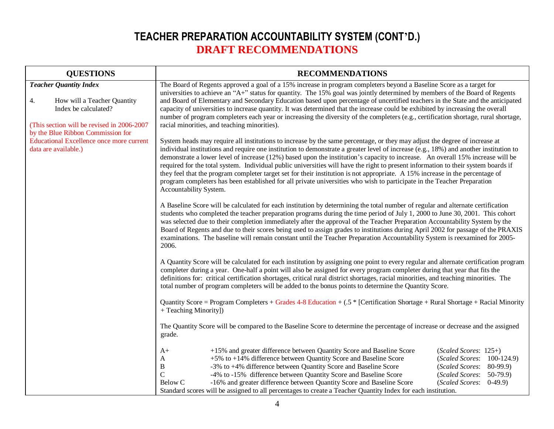| <b>QUESTIONS</b>                                                                                                                                                              | <b>RECOMMENDATIONS</b>                                                                                                                                                                                                                                                                                                                                                                                                                                                                                                                                                                                                                                                                                                                                                                                                            |  |  |
|-------------------------------------------------------------------------------------------------------------------------------------------------------------------------------|-----------------------------------------------------------------------------------------------------------------------------------------------------------------------------------------------------------------------------------------------------------------------------------------------------------------------------------------------------------------------------------------------------------------------------------------------------------------------------------------------------------------------------------------------------------------------------------------------------------------------------------------------------------------------------------------------------------------------------------------------------------------------------------------------------------------------------------|--|--|
| <b>Teacher Quantity Index</b><br>4.<br>How will a Teacher Quantity<br>Index be calculated?<br>(This section will be revised in 2006-2007<br>by the Blue Ribbon Commission for | The Board of Regents approved a goal of a 15% increase in program completers beyond a Baseline Score as a target for<br>universities to achieve an "A+" status for quantity. The 15% goal was jointly determined by members of the Board of Regents<br>and Board of Elementary and Secondary Education based upon percentage of uncertified teachers in the State and the anticipated<br>capacity of universities to increase quantity. It was determined that the increase could be exhibited by increasing the overall<br>number of program completers each year or increasing the diversity of the completers (e.g., certification shortage, rural shortage,<br>racial minorities, and teaching minorities).                                                                                                                   |  |  |
| <b>Educational Excellence once more current</b><br>data are available.)                                                                                                       | System heads may require all institutions to increase by the same percentage, or they may adjust the degree of increase at<br>individual institutions and require one institution to demonstrate a greater level of increase (e.g., 18%) and another institution to<br>demonstrate a lower level of increase (12%) based upon the institution's capacity to increase. An overall 15% increase will be<br>required for the total system. Individual public universities will have the right to present information to their system boards if<br>they feel that the program completer target set for their institution is not appropriate. A 15% increase in the percentage of<br>program completers has been established for all private universities who wish to participate in the Teacher Preparation<br>Accountability System. |  |  |
|                                                                                                                                                                               | A Baseline Score will be calculated for each institution by determining the total number of regular and alternate certification<br>students who completed the teacher preparation programs during the time period of July 1, 2000 to June 30, 2001. This cohort<br>was selected due to their completion immediately after the approval of the Teacher Preparation Accountability System by the<br>Board of Regents and due to their scores being used to assign grades to institutions during April 2002 for passage of the PRAXIS<br>examinations. The baseline will remain constant until the Teacher Preparation Accountability System is reexamined for 2005-<br>2006.                                                                                                                                                        |  |  |
|                                                                                                                                                                               | A Quantity Score will be calculated for each institution by assigning one point to every regular and alternate certification program<br>completer during a year. One-half a point will also be assigned for every program completer during that year that fits the<br>definitions for: critical certification shortages, critical rural district shortages, racial minorities, and teaching minorities. The<br>total number of program completers will be added to the bonus points to determine the Quantity Score.                                                                                                                                                                                                                                                                                                              |  |  |
|                                                                                                                                                                               | Quantity Score = Program Completers + Grades 4-8 Education + $(.5 *$ [Certification Shortage + Rural Shortage + Racial Minority<br>+ Teaching Minority])                                                                                                                                                                                                                                                                                                                                                                                                                                                                                                                                                                                                                                                                          |  |  |
|                                                                                                                                                                               | The Quantity Score will be compared to the Baseline Score to determine the percentage of increase or decrease and the assigned<br>grade.                                                                                                                                                                                                                                                                                                                                                                                                                                                                                                                                                                                                                                                                                          |  |  |
|                                                                                                                                                                               | +15% and greater difference between Quantity Score and Baseline Score<br>$(Scaled \, Scores: 125+)$<br>A+<br>+5% to +14% difference between Quantity Score and Baseline Score<br>(Scaled Scores: 100-124.9)<br>A<br>-3% to +4% difference between Quantity Score and Baseline Score<br>B<br>$(Scaled \, Scores: 80-99.9)$<br>$\mathsf{C}$<br>-4% to -15% difference between Quantity Score and Baseline Score<br>$(Scaled \, Scores: 50-79.9)$<br>-16% and greater difference between Quantity Score and Baseline Score<br>Below C<br>(Scaled Scores: 0-49.9)<br>Standard scores will be assigned to all percentages to create a Teacher Quantity Index for each institution.                                                                                                                                                     |  |  |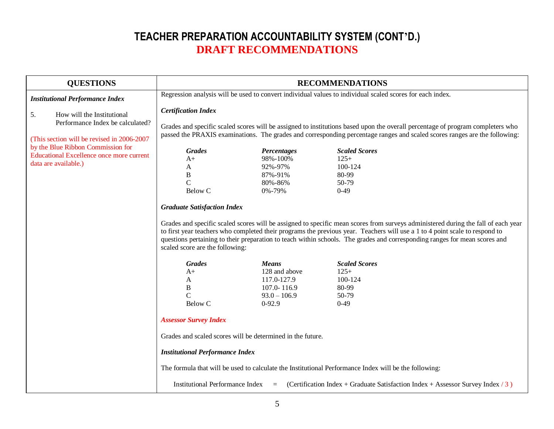| <b>QUESTIONS</b>                                                                                             |                                                                                                                                                                                                                                                                                                                                                                                                                                                                         |                                                                                                                                                                     | <b>RECOMMENDATIONS</b>                                                                                                                                                                                                                                                       |  |
|--------------------------------------------------------------------------------------------------------------|-------------------------------------------------------------------------------------------------------------------------------------------------------------------------------------------------------------------------------------------------------------------------------------------------------------------------------------------------------------------------------------------------------------------------------------------------------------------------|---------------------------------------------------------------------------------------------------------------------------------------------------------------------|------------------------------------------------------------------------------------------------------------------------------------------------------------------------------------------------------------------------------------------------------------------------------|--|
| <b>Institutional Performance Index</b>                                                                       | Regression analysis will be used to convert individual values to individual scaled scores for each index.                                                                                                                                                                                                                                                                                                                                                               |                                                                                                                                                                     |                                                                                                                                                                                                                                                                              |  |
| 5.<br>How will the Institutional<br>Performance Index be calculated?                                         | <b>Certification Index</b>                                                                                                                                                                                                                                                                                                                                                                                                                                              |                                                                                                                                                                     | Grades and specific scaled scores will be assigned to institutions based upon the overall percentage of program completers who                                                                                                                                               |  |
| (This section will be revised in 2006-2007)                                                                  | passed the PRAXIS examinations. The grades and corresponding percentage ranges and scaled scores ranges are the following:                                                                                                                                                                                                                                                                                                                                              |                                                                                                                                                                     |                                                                                                                                                                                                                                                                              |  |
| by the Blue Ribbon Commission for<br><b>Educational Excellence once more current</b><br>data are available.) | <b>Grades</b><br>$A+$<br>A<br>B<br>$\mathbf C$<br>Below C                                                                                                                                                                                                                                                                                                                                                                                                               | Percentages<br>98%-100%<br>92%-97%<br>87%-91%<br>80%-86%<br>0%-79%                                                                                                  | <b>Scaled Scores</b><br>$125+$<br>100-124<br>80-99<br>50-79<br>$0-49$                                                                                                                                                                                                        |  |
|                                                                                                              | <b>Graduate Satisfaction Index</b><br>Grades and specific scaled scores will be assigned to specific mean scores from surveys administered during the fall of each year<br>to first year teachers who completed their programs the previous year. Teachers will use a 1 to 4 point scale to respond to<br>questions pertaining to their preparation to teach within schools. The grades and corresponding ranges for mean scores and<br>scaled score are the following: |                                                                                                                                                                     |                                                                                                                                                                                                                                                                              |  |
|                                                                                                              | <b>Grades</b><br>$A+$<br>A<br>$\, {\bf B}$<br>$\mathbf C$<br><b>Below C</b><br><b>Assessor Survey Index</b><br><b>Institutional Performance Index</b><br><b>Institutional Performance Index</b>                                                                                                                                                                                                                                                                         | <b>Means</b><br>128 and above<br>117.0-127.9<br>107.0-116.9<br>$93.0 - 106.9$<br>$0-92.9$<br>Grades and scaled scores will be determined in the future.<br>$\equiv$ | <b>Scaled Scores</b><br>$125+$<br>100-124<br>80-99<br>50-79<br>$0-49$<br>The formula that will be used to calculate the Institutional Performance Index will be the following:<br>(Certification Index + Graduate Satisfaction Index + Assessor Survey Index $\frac{3}{3}$ ) |  |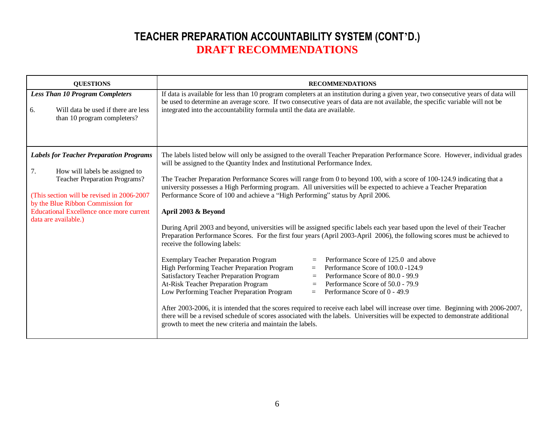| <b>QUESTIONS</b>                                                                                                                                                                                                                                                                              | <b>RECOMMENDATIONS</b>                                                                                                                                                                                                                                                                                                                                                                                                                                                                                                                                                                                                                                                                                                                                                                                                                                                                                                                                                                                                                                                                                                                                                                                                                                                                                                                                                                                                                                                                                                                                                                                                                                                 |
|-----------------------------------------------------------------------------------------------------------------------------------------------------------------------------------------------------------------------------------------------------------------------------------------------|------------------------------------------------------------------------------------------------------------------------------------------------------------------------------------------------------------------------------------------------------------------------------------------------------------------------------------------------------------------------------------------------------------------------------------------------------------------------------------------------------------------------------------------------------------------------------------------------------------------------------------------------------------------------------------------------------------------------------------------------------------------------------------------------------------------------------------------------------------------------------------------------------------------------------------------------------------------------------------------------------------------------------------------------------------------------------------------------------------------------------------------------------------------------------------------------------------------------------------------------------------------------------------------------------------------------------------------------------------------------------------------------------------------------------------------------------------------------------------------------------------------------------------------------------------------------------------------------------------------------------------------------------------------------|
| <b>Less Than 10 Program Completers</b><br>Will data be used if there are less<br>6.<br>than 10 program completers?                                                                                                                                                                            | If data is available for less than 10 program completers at an institution during a given year, two consecutive years of data will<br>be used to determine an average score. If two consecutive years of data are not available, the specific variable will not be<br>integrated into the accountability formula until the data are available.                                                                                                                                                                                                                                                                                                                                                                                                                                                                                                                                                                                                                                                                                                                                                                                                                                                                                                                                                                                                                                                                                                                                                                                                                                                                                                                         |
| <b>Labels for Teacher Preparation Programs</b><br>How will labels be assigned to<br>7.<br><b>Teacher Preparation Programs?</b><br>(This section will be revised in 2006-2007)<br>by the Blue Ribbon Commission for<br><b>Educational Excellence once more current</b><br>data are available.) | The labels listed below will only be assigned to the overall Teacher Preparation Performance Score. However, individual grades<br>will be assigned to the Quantity Index and Institutional Performance Index.<br>The Teacher Preparation Performance Scores will range from 0 to beyond 100, with a score of 100-124.9 indicating that a<br>university possesses a High Performing program. All universities will be expected to achieve a Teacher Preparation<br>Performance Score of 100 and achieve a "High Performing" status by April 2006.<br>April 2003 & Beyond<br>During April 2003 and beyond, universities will be assigned specific labels each year based upon the level of their Teacher<br>Preparation Performance Scores. For the first four years (April 2003-April 2006), the following scores must be achieved to<br>receive the following labels:<br><b>Exemplary Teacher Preparation Program</b><br>Performance Score of 125.0 and above<br>$=$<br>High Performing Teacher Preparation Program<br>Performance Score of 100.0 -124.9<br>$=$<br>Satisfactory Teacher Preparation Program<br>Performance Score of 80.0 - 99.9<br>$=$<br>At-Risk Teacher Preparation Program<br>Performance Score of 50.0 - 79.9<br>$\equiv$<br>Low Performing Teacher Preparation Program<br>Performance Score of 0 - 49.9<br>$=$<br>After 2003-2006, it is intended that the scores required to receive each label will increase over time. Beginning with 2006-2007,<br>there will be a revised schedule of scores associated with the labels. Universities will be expected to demonstrate additional<br>growth to meet the new criteria and maintain the labels. |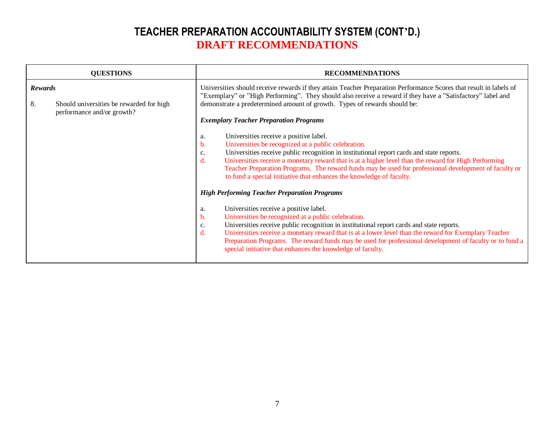| <b>QUESTIONS</b> |                                                                        | <b>RECOMMENDATIONS</b>                                                                                                                                                                                                                                                                                                                                                                                                                                                                                                                                                 |  |
|------------------|------------------------------------------------------------------------|------------------------------------------------------------------------------------------------------------------------------------------------------------------------------------------------------------------------------------------------------------------------------------------------------------------------------------------------------------------------------------------------------------------------------------------------------------------------------------------------------------------------------------------------------------------------|--|
| Rewards          |                                                                        | Universities should receive rewards if they attain Teacher Preparation Performance Scores that result in labels of<br>"Exemplary" or "High Performing". They should also receive a reward if they have a "Satisfactory" label and                                                                                                                                                                                                                                                                                                                                      |  |
| 8.               | Should universities be rewarded for high<br>performance and/or growth? | demonstrate a predetermined amount of growth. Types of rewards should be:<br><b>Exemplary Teacher Preparation Programs</b>                                                                                                                                                                                                                                                                                                                                                                                                                                             |  |
|                  |                                                                        | Universities receive a positive label.<br>a.<br>Universities be recognized at a public celebration.<br>b.<br>Universities receive public recognition in institutional report cards and state reports.<br>c.<br>$\mathbf{d}$ .<br>Universities receive a monetary reward that is at a higher level than the reward for High Performing<br>Teacher Preparation Programs. The reward funds may be used for professional development of faculty or<br>to fund a special initiative that enhances the knowledge of faculty.                                                 |  |
|                  |                                                                        | <b>High Performing Teacher Preparation Programs</b><br>Universities receive a positive label.<br>a.<br>Universities be recognized at a public celebration.<br>b.<br>Universities receive public recognition in institutional report cards and state reports.<br>c.<br>Universities receive a monetary reward that is at a lower level than the reward for Exemplary Teacher<br>$\mathbf{d}$ .<br>Preparation Programs. The reward funds may be used for professional development of faculty or to fund a<br>special initiative that enhances the knowledge of faculty. |  |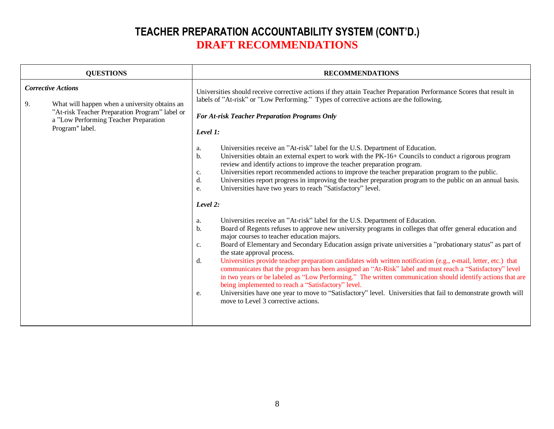| <b>QUESTIONS</b>                                                                                                                                                                               | <b>RECOMMENDATIONS</b>                                                                                                                                                                                                                                                                                                                                                                                                                                                                                                                                                                                                                                                                                                                                                                                                                                                                                                                                                                                                                                                                                                                                                                                                                                         |
|------------------------------------------------------------------------------------------------------------------------------------------------------------------------------------------------|----------------------------------------------------------------------------------------------------------------------------------------------------------------------------------------------------------------------------------------------------------------------------------------------------------------------------------------------------------------------------------------------------------------------------------------------------------------------------------------------------------------------------------------------------------------------------------------------------------------------------------------------------------------------------------------------------------------------------------------------------------------------------------------------------------------------------------------------------------------------------------------------------------------------------------------------------------------------------------------------------------------------------------------------------------------------------------------------------------------------------------------------------------------------------------------------------------------------------------------------------------------|
| <b>Corrective Actions</b><br>9.<br>What will happen when a university obtains an<br>"At-risk Teacher Preparation Program" label or<br>a "Low Performing Teacher Preparation<br>Program" label. | Universities should receive corrective actions if they attain Teacher Preparation Performance Scores that result in<br>labels of "At-risk" or "Low Performing." Types of corrective actions are the following.<br><b>For At-risk Teacher Preparation Programs Only</b><br>Level 1:<br>Universities receive an "At-risk" label for the U.S. Department of Education.<br>a.<br>Universities obtain an external expert to work with the PK-16+ Councils to conduct a rigorous program<br>b.<br>review and identify actions to improve the teacher preparation program.<br>Universities report recommended actions to improve the teacher preparation program to the public.<br>c.<br>Universities report progress in improving the teacher preparation program to the public on an annual basis.<br>d.<br>Universities have two years to reach "Satisfactory" level.<br>e.<br>Level 2:<br>Universities receive an "At-risk" label for the U.S. Department of Education.<br>a.<br>Board of Regents refuses to approve new university programs in colleges that offer general education and<br>b.<br>major courses to teacher education majors.<br>Board of Elementary and Secondary Education assign private universities a "probationary status" as part of<br>c. |
|                                                                                                                                                                                                | the state approval process.<br>Universities provide teacher preparation candidates with written notification (e.g., e-mail, letter, etc.) that<br>d.<br>communicates that the program has been assigned an "At-Risk" label and must reach a "Satisfactory" level<br>in two years or be labeled as "Low Performing." The written communication should identify actions that are<br>being implemented to reach a "Satisfactory" level.<br>Universities have one year to move to "Satisfactory" level. Universities that fail to demonstrate growth will<br>e.<br>move to Level 3 corrective actions.                                                                                                                                                                                                                                                                                                                                                                                                                                                                                                                                                                                                                                                             |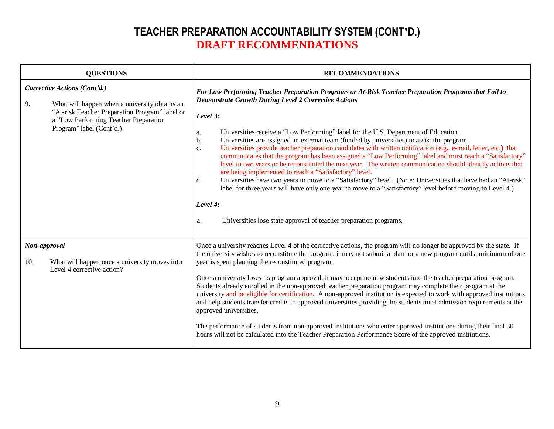| <b>QUESTIONS</b>                                                                                                                                                                                           | <b>RECOMMENDATIONS</b>                                                                                                                                                                                                                                                                                                                                                                                                                                                                                                                                                                                                                                                                                                                                                                                                                                                                                                                                                                                                                                                                                                      |
|------------------------------------------------------------------------------------------------------------------------------------------------------------------------------------------------------------|-----------------------------------------------------------------------------------------------------------------------------------------------------------------------------------------------------------------------------------------------------------------------------------------------------------------------------------------------------------------------------------------------------------------------------------------------------------------------------------------------------------------------------------------------------------------------------------------------------------------------------------------------------------------------------------------------------------------------------------------------------------------------------------------------------------------------------------------------------------------------------------------------------------------------------------------------------------------------------------------------------------------------------------------------------------------------------------------------------------------------------|
| Corrective Actions (Cont'd.)<br>What will happen when a university obtains an<br>9.<br>"At-risk Teacher Preparation Program" label or<br>a "Low Performing Teacher Preparation<br>Program" label (Cont'd.) | For Low Performing Teacher Preparation Programs or At-Risk Teacher Preparation Programs that Fail to<br><b>Demonstrate Growth During Level 2 Corrective Actions</b><br>Level 3:<br>Universities receive a "Low Performing" label for the U.S. Department of Education.<br>a.<br>Universities are assigned an external team (funded by universities) to assist the program.<br>b.<br>Universities provide teacher preparation candidates with written notification (e.g., e-mail, letter, etc.) that<br>c.<br>communicates that the program has been assigned a "Low Performing" label and must reach a "Satisfactory"<br>level in two years or be reconstituted the next year. The written communication should identify actions that<br>are being implemented to reach a "Satisfactory" level.<br>Universities have two years to move to a "Satisfactory" level. (Note: Universities that have had an "At-risk"<br>d.<br>label for three years will have only one year to move to a "Satisfactory" level before moving to Level 4.)<br>Level 4:<br>Universities lose state approval of teacher preparation programs.<br>a. |
| Non-approval<br>What will happen once a university moves into<br>10.<br>Level 4 corrective action?                                                                                                         | Once a university reaches Level 4 of the corrective actions, the program will no longer be approved by the state. If<br>the university wishes to reconstitute the program, it may not submit a plan for a new program until a minimum of one<br>year is spent planning the reconstituted program.<br>Once a university loses its program approval, it may accept no new students into the teacher preparation program.<br>Students already enrolled in the non-approved teacher preparation program may complete their program at the<br>university and be eligible for certification. A non-approved institution is expected to work with approved institutions<br>and help students transfer credits to approved universities providing the students meet admission requirements at the<br>approved universities.<br>The performance of students from non-approved institutions who enter approved institutions during their final 30<br>hours will not be calculated into the Teacher Preparation Performance Score of the approved institutions.                                                                        |